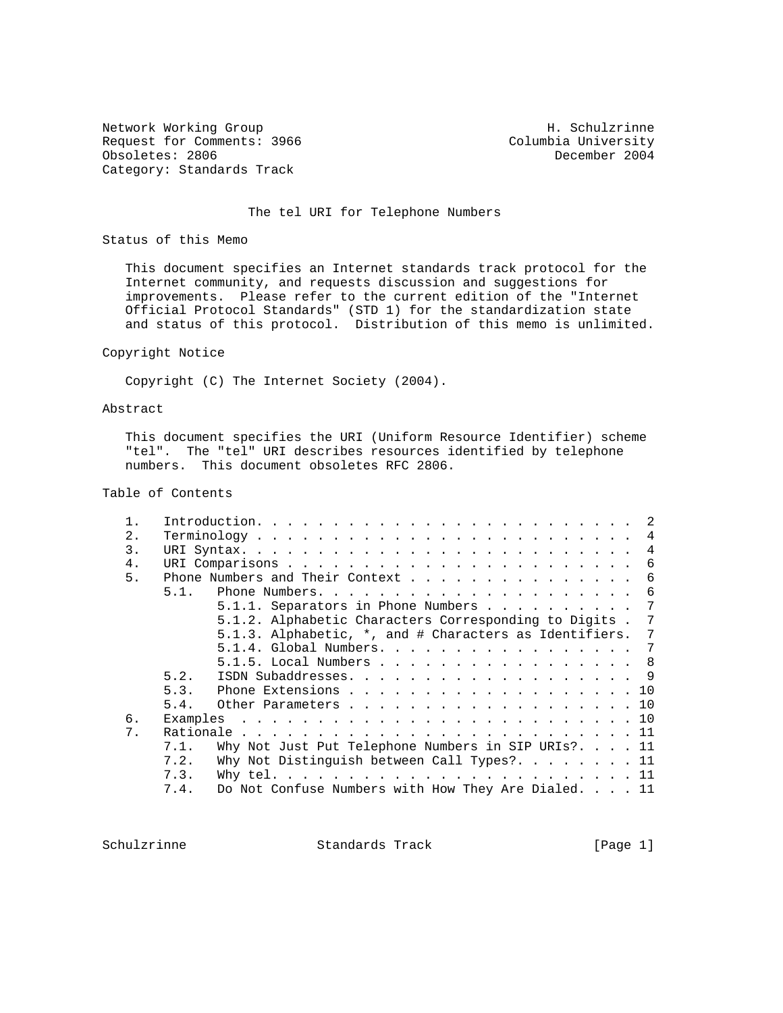Network Working Group Network H. Schulzrinne Request for Comments: 3966 Columbia University<br>
Obsoletes: 2806 Columbia University<br>
December 2004 Obsoletes: 2806 Category: Standards Track

## The tel URI for Telephone Numbers

Status of this Memo

 This document specifies an Internet standards track protocol for the Internet community, and requests discussion and suggestions for improvements. Please refer to the current edition of the "Internet Official Protocol Standards" (STD 1) for the standardization state and status of this protocol. Distribution of this memo is unlimited.

#### Copyright Notice

Copyright (C) The Internet Society (2004).

## Abstract

 This document specifies the URI (Uniform Resource Identifier) scheme "tel". The "tel" URI describes resources identified by telephone numbers. This document obsoletes RFC 2806.

# Table of Contents

| 2. |      |                                                          |  |  |  |  |  |  |  |  |  |  |
|----|------|----------------------------------------------------------|--|--|--|--|--|--|--|--|--|--|
| 3. |      |                                                          |  |  |  |  |  |  |  |  |  |  |
| 4. |      |                                                          |  |  |  |  |  |  |  |  |  |  |
| 5. |      | Phone Numbers and Their Context 6                        |  |  |  |  |  |  |  |  |  |  |
|    | 5.1. |                                                          |  |  |  |  |  |  |  |  |  |  |
|    |      | 5.1.1. Separators in Phone Numbers $\dots$ 7             |  |  |  |  |  |  |  |  |  |  |
|    |      | 5.1.2. Alphabetic Characters Corresponding to Digits . 7 |  |  |  |  |  |  |  |  |  |  |
|    |      | 5.1.3. Alphabetic, *, and # Characters as Identifiers. 7 |  |  |  |  |  |  |  |  |  |  |
|    |      | 5.1.4. Global Numbers. 7                                 |  |  |  |  |  |  |  |  |  |  |
|    |      | 5.1.5. Local Numbers 8                                   |  |  |  |  |  |  |  |  |  |  |
|    | 5.2. |                                                          |  |  |  |  |  |  |  |  |  |  |
|    | 5.3. | Phone Extensions 10                                      |  |  |  |  |  |  |  |  |  |  |
|    | 5.4. | Other Parameters 10                                      |  |  |  |  |  |  |  |  |  |  |
| б. |      |                                                          |  |  |  |  |  |  |  |  |  |  |
| 7. |      |                                                          |  |  |  |  |  |  |  |  |  |  |
|    | 7.1. | Why Not Just Put Telephone Numbers in SIP URIs? $11$     |  |  |  |  |  |  |  |  |  |  |
|    | 7.2. | Why Not Distinguish between Call Types? $11$             |  |  |  |  |  |  |  |  |  |  |
|    | 7.3. |                                                          |  |  |  |  |  |  |  |  |  |  |
|    | 7.4. | Do Not Confuse Numbers with How They Are Dialed. 11      |  |  |  |  |  |  |  |  |  |  |

Schulzrinne Standards Track [Page 1]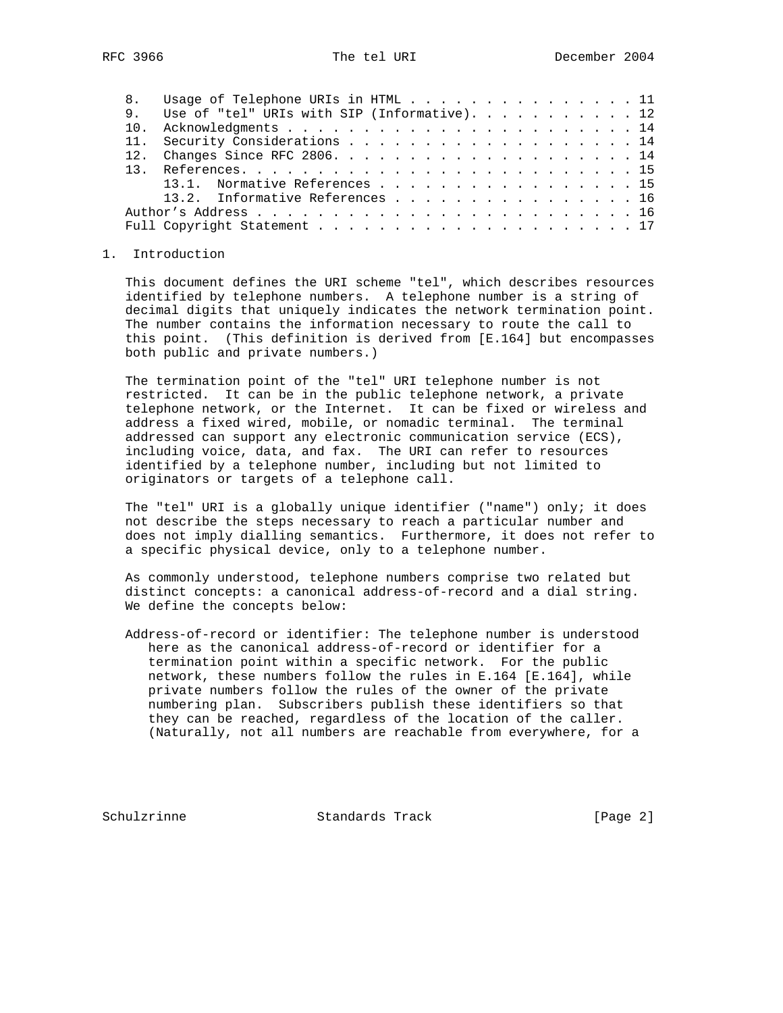|  | 8. Usage of Telephone URIs in HTML 11           |
|--|-------------------------------------------------|
|  | 9. Use of "tel" URIs with SIP (Informative). 12 |
|  |                                                 |
|  | 11. Security Considerations 14                  |
|  |                                                 |
|  |                                                 |
|  | 13.1. Normative References 15                   |
|  | 13.2. Informative References 16                 |
|  |                                                 |
|  |                                                 |

#### 1. Introduction

 This document defines the URI scheme "tel", which describes resources identified by telephone numbers. A telephone number is a string of decimal digits that uniquely indicates the network termination point. The number contains the information necessary to route the call to this point. (This definition is derived from [E.164] but encompasses both public and private numbers.)

 The termination point of the "tel" URI telephone number is not restricted. It can be in the public telephone network, a private telephone network, or the Internet. It can be fixed or wireless and address a fixed wired, mobile, or nomadic terminal. The terminal addressed can support any electronic communication service (ECS), including voice, data, and fax. The URI can refer to resources identified by a telephone number, including but not limited to originators or targets of a telephone call.

 The "tel" URI is a globally unique identifier ("name") only; it does not describe the steps necessary to reach a particular number and does not imply dialling semantics. Furthermore, it does not refer to a specific physical device, only to a telephone number.

 As commonly understood, telephone numbers comprise two related but distinct concepts: a canonical address-of-record and a dial string. We define the concepts below:

 Address-of-record or identifier: The telephone number is understood here as the canonical address-of-record or identifier for a termination point within a specific network. For the public network, these numbers follow the rules in E.164 [E.164], while private numbers follow the rules of the owner of the private numbering plan. Subscribers publish these identifiers so that they can be reached, regardless of the location of the caller. (Naturally, not all numbers are reachable from everywhere, for a

Schulzrinne **Standards Track** [Page 2]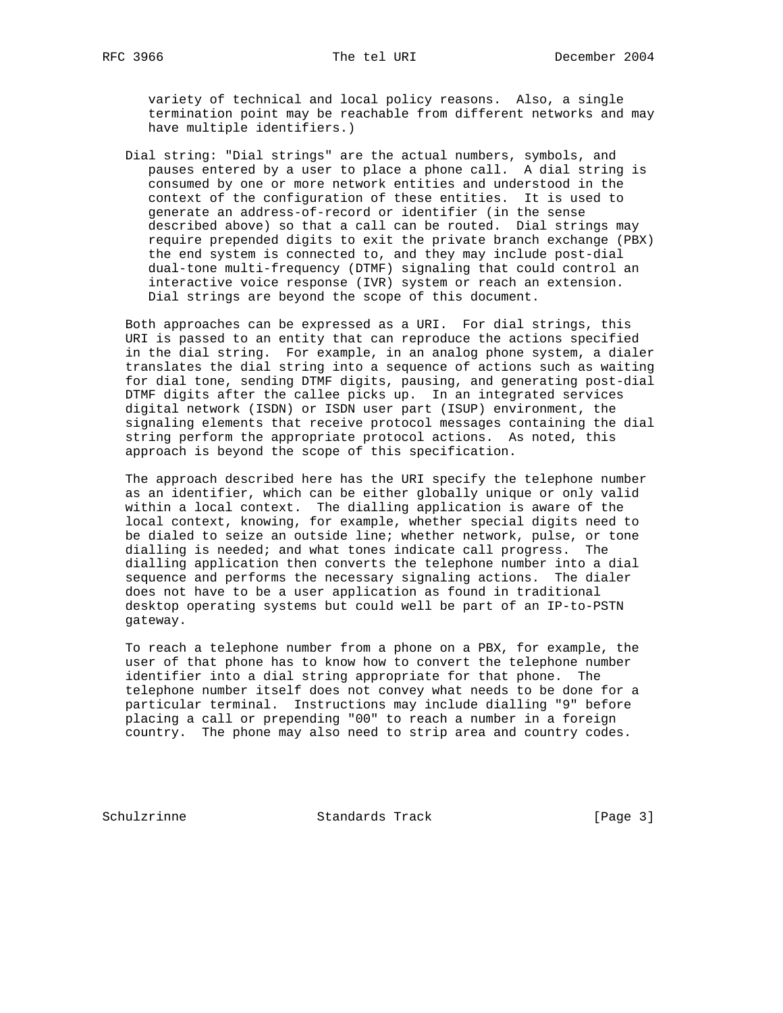variety of technical and local policy reasons. Also, a single termination point may be reachable from different networks and may have multiple identifiers.)

 Dial string: "Dial strings" are the actual numbers, symbols, and pauses entered by a user to place a phone call. A dial string is consumed by one or more network entities and understood in the context of the configuration of these entities. It is used to generate an address-of-record or identifier (in the sense described above) so that a call can be routed. Dial strings may require prepended digits to exit the private branch exchange (PBX) the end system is connected to, and they may include post-dial dual-tone multi-frequency (DTMF) signaling that could control an interactive voice response (IVR) system or reach an extension. Dial strings are beyond the scope of this document.

 Both approaches can be expressed as a URI. For dial strings, this URI is passed to an entity that can reproduce the actions specified in the dial string. For example, in an analog phone system, a dialer translates the dial string into a sequence of actions such as waiting for dial tone, sending DTMF digits, pausing, and generating post-dial DTMF digits after the callee picks up. In an integrated services digital network (ISDN) or ISDN user part (ISUP) environment, the signaling elements that receive protocol messages containing the dial string perform the appropriate protocol actions. As noted, this approach is beyond the scope of this specification.

 The approach described here has the URI specify the telephone number as an identifier, which can be either globally unique or only valid within a local context. The dialling application is aware of the local context, knowing, for example, whether special digits need to be dialed to seize an outside line; whether network, pulse, or tone dialling is needed; and what tones indicate call progress. The dialling application then converts the telephone number into a dial sequence and performs the necessary signaling actions. The dialer does not have to be a user application as found in traditional desktop operating systems but could well be part of an IP-to-PSTN gateway.

 To reach a telephone number from a phone on a PBX, for example, the user of that phone has to know how to convert the telephone number identifier into a dial string appropriate for that phone. The telephone number itself does not convey what needs to be done for a particular terminal. Instructions may include dialling "9" before placing a call or prepending "00" to reach a number in a foreign country. The phone may also need to strip area and country codes.

Schulzrinne Standards Track [Page 3]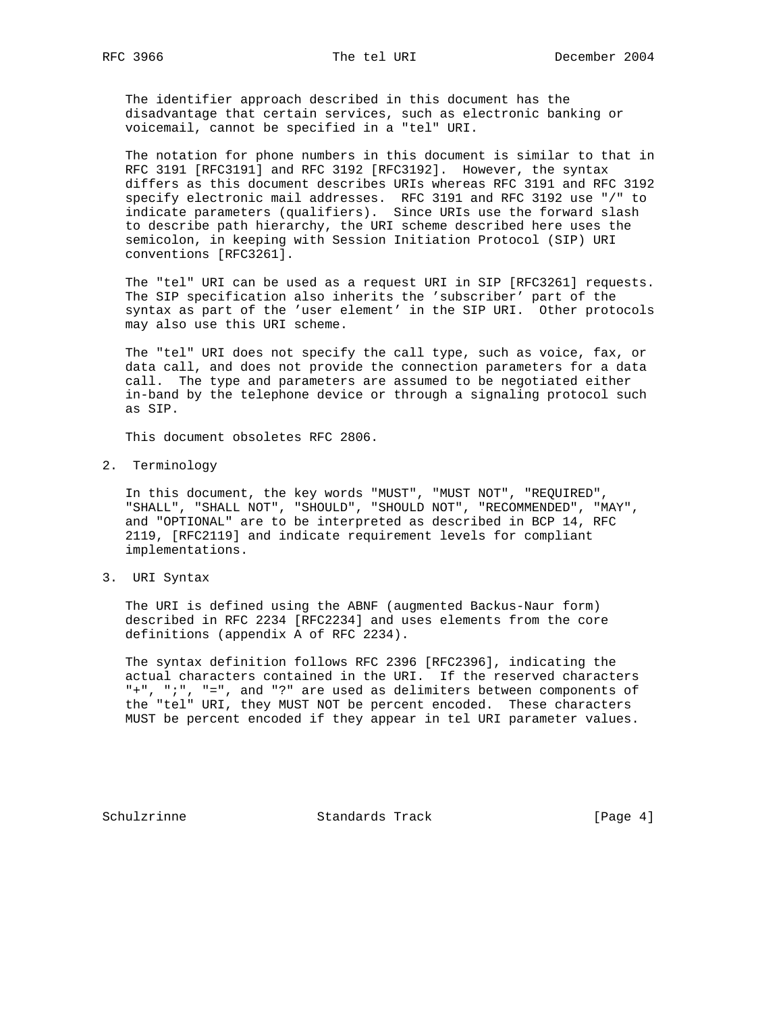The identifier approach described in this document has the disadvantage that certain services, such as electronic banking or voicemail, cannot be specified in a "tel" URI.

 The notation for phone numbers in this document is similar to that in RFC 3191 [RFC3191] and RFC 3192 [RFC3192]. However, the syntax differs as this document describes URIs whereas RFC 3191 and RFC 3192 specify electronic mail addresses. RFC 3191 and RFC 3192 use "/" to indicate parameters (qualifiers). Since URIs use the forward slash to describe path hierarchy, the URI scheme described here uses the semicolon, in keeping with Session Initiation Protocol (SIP) URI conventions [RFC3261].

 The "tel" URI can be used as a request URI in SIP [RFC3261] requests. The SIP specification also inherits the 'subscriber' part of the syntax as part of the 'user element' in the SIP URI. Other protocols may also use this URI scheme.

 The "tel" URI does not specify the call type, such as voice, fax, or data call, and does not provide the connection parameters for a data call. The type and parameters are assumed to be negotiated either in-band by the telephone device or through a signaling protocol such as SIP.

This document obsoletes RFC 2806.

2. Terminology

 In this document, the key words "MUST", "MUST NOT", "REQUIRED", "SHALL", "SHALL NOT", "SHOULD", "SHOULD NOT", "RECOMMENDED", "MAY", and "OPTIONAL" are to be interpreted as described in BCP 14, RFC 2119, [RFC2119] and indicate requirement levels for compliant implementations.

3. URI Syntax

 The URI is defined using the ABNF (augmented Backus-Naur form) described in RFC 2234 [RFC2234] and uses elements from the core definitions (appendix A of RFC 2234).

 The syntax definition follows RFC 2396 [RFC2396], indicating the actual characters contained in the URI. If the reserved characters "+", ";", "=", and "?" are used as delimiters between components of the "tel" URI, they MUST NOT be percent encoded. These characters MUST be percent encoded if they appear in tel URI parameter values.

Schulzrinne Standards Track [Page 4]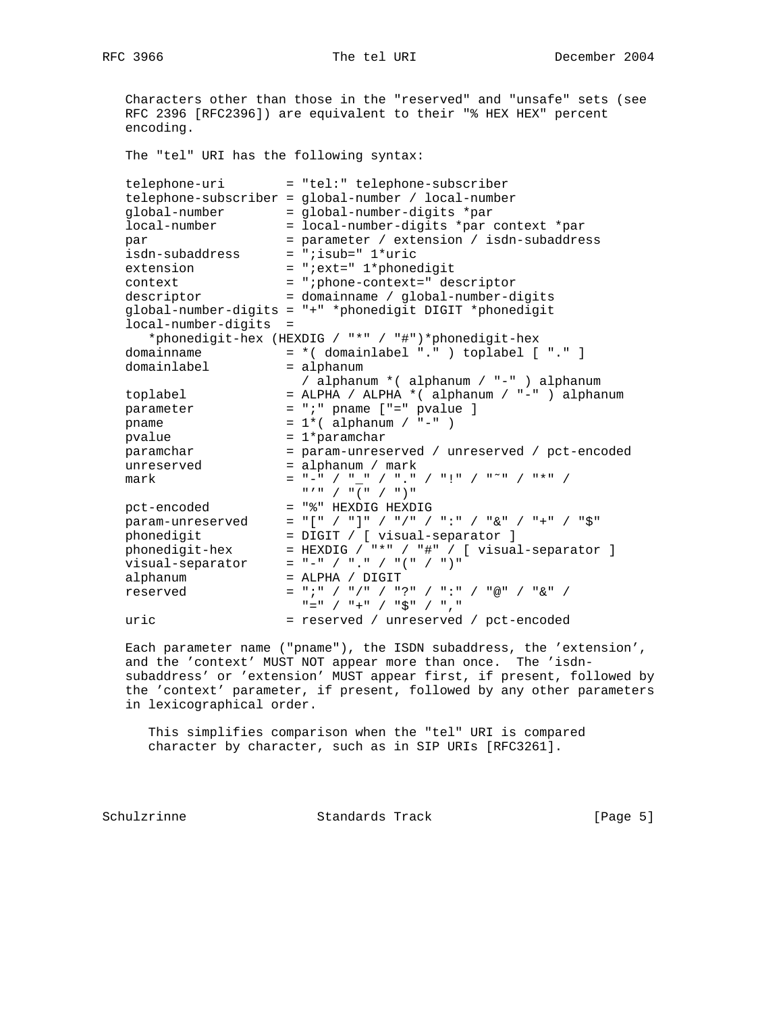Characters other than those in the "reserved" and "unsafe" sets (see RFC 2396 [RFC2396]) are equivalent to their "% HEX HEX" percent encoding. The "tel" URI has the following syntax: telephone-uri = "tel:" telephone-subscriber telephone-subscriber = global-number / local-number global-number = global-number-digits \*par local-number = local-number-digits \*par context \*par par = parameter / extension / isdn-subaddress isdn-subaddress = ";isub=" 1\*uric extension = ";ext=" 1\*phonedigit context = ";phone-context=" descriptor descriptor = domainname / global-number-digits global-number-digits = "+" \*phonedigit DIGIT \*phonedigit local-number-digits = \*phonedigit-hex (HEXDIG / "\*" / "#")\*phonedigit-hex domainname = \*( domainlabel "." ) toplabel [ "." ] domainlabel = alphanum / alphanum \*( alphanum / "-" ) alphanum toplabel = ALPHA / ALPHA \*( alphanum / "-" ) alphanum parameter = ";" pname ["=" pvalue ] pname  $= 1*($  alphanum  $/$  "-"  $)$ pvalue  $= 1*$ paramchar paramchar = param-unreserved / unreserved / pct-encoded unreserved = alphanum / mark mark  $=$  " $-\frac{1}{n}$  / " $-\frac{1}{n}$  / " $\frac{1}{n}$  / " $\frac{1}{n}$  / " $\frac{1}{n}$  / " $\frac{1}{n}$  / " $\frac{1}{n}$  / " $\frac{1}{n}$  / " $\frac{1}{n}$  / " $\frac{1}{n}$  / " $\frac{1}{n}$  / " $\frac{1}{n}$  / " $\frac{1}{n}$  / " $\frac{1}{n}$  / " $\frac{1}{n}$  / " $\frac{1}{n}$  / " $\frac$  "'" / "(" / ")" pct-encoded = "%" HEXDIG HEXDIG param-unreserved = "[" / "]" / "/" / ":" / "&" / "+" / "\$" phonedigit = DIGIT / [ visual-separator ] phonedigit-hex = HEXDIG / "\*" / "#" / [ visual-separator ] visual-separator = "-" / "." / "(" / ")" alphanum = ALPHA / DIGIT reserved = ";" / "/" / "?" / ":" / "@" / "&" / "=" / "+" / "\$" / "," uric = reserved / unreserved / pct-encoded

 Each parameter name ("pname"), the ISDN subaddress, the 'extension', and the 'context' MUST NOT appear more than once. The 'isdn subaddress' or 'extension' MUST appear first, if present, followed by the 'context' parameter, if present, followed by any other parameters in lexicographical order.

 This simplifies comparison when the "tel" URI is compared character by character, such as in SIP URIs [RFC3261].

Schulzrinne Standards Track [Page 5]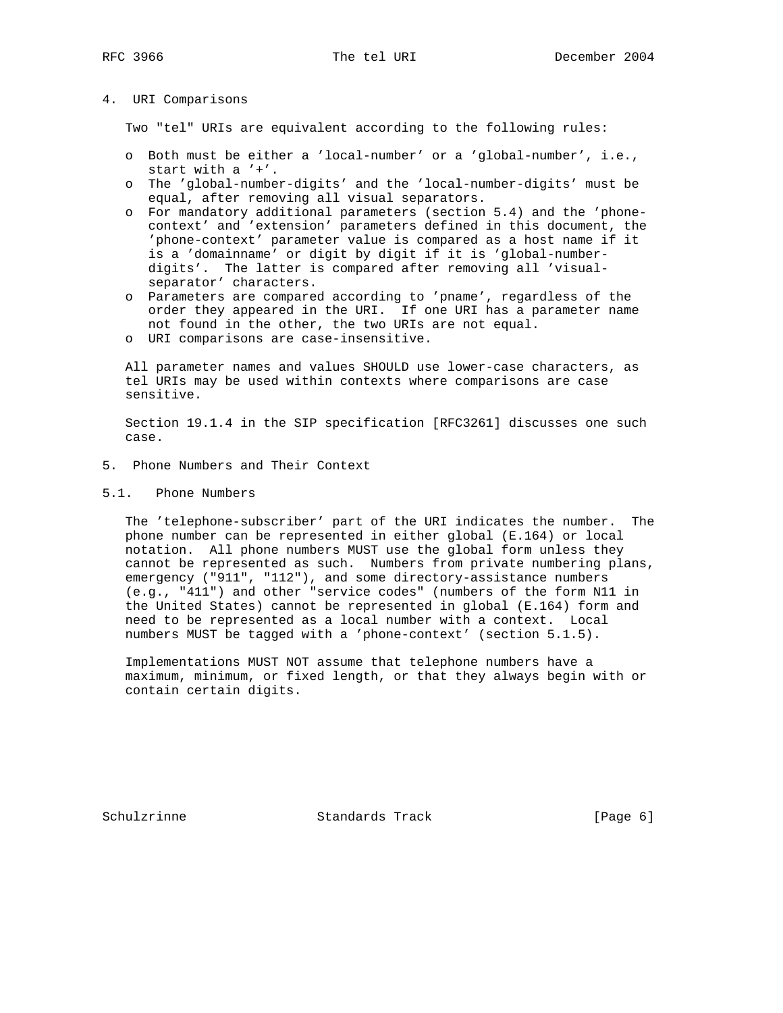## 4. URI Comparisons

Two "tel" URIs are equivalent according to the following rules:

- o Both must be either a 'local-number' or a 'global-number', i.e., start with a '+'.
- o The 'global-number-digits' and the 'local-number-digits' must be equal, after removing all visual separators.
- o For mandatory additional parameters (section 5.4) and the 'phone context' and 'extension' parameters defined in this document, the 'phone-context' parameter value is compared as a host name if it is a 'domainname' or digit by digit if it is 'global-number digits'. The latter is compared after removing all 'visual separator' characters.
- o Parameters are compared according to 'pname', regardless of the order they appeared in the URI. If one URI has a parameter name not found in the other, the two URIs are not equal.
- o URI comparisons are case-insensitive.

 All parameter names and values SHOULD use lower-case characters, as tel URIs may be used within contexts where comparisons are case sensitive.

 Section 19.1.4 in the SIP specification [RFC3261] discusses one such case.

- 5. Phone Numbers and Their Context
- 5.1. Phone Numbers

 The 'telephone-subscriber' part of the URI indicates the number. The phone number can be represented in either global (E.164) or local notation. All phone numbers MUST use the global form unless they cannot be represented as such. Numbers from private numbering plans, emergency ("911", "112"), and some directory-assistance numbers (e.g., "411") and other "service codes" (numbers of the form N11 in the United States) cannot be represented in global (E.164) form and need to be represented as a local number with a context. Local numbers MUST be tagged with a 'phone-context' (section 5.1.5).

 Implementations MUST NOT assume that telephone numbers have a maximum, minimum, or fixed length, or that they always begin with or contain certain digits.

Schulzrinne **Standards Track** [Page 6]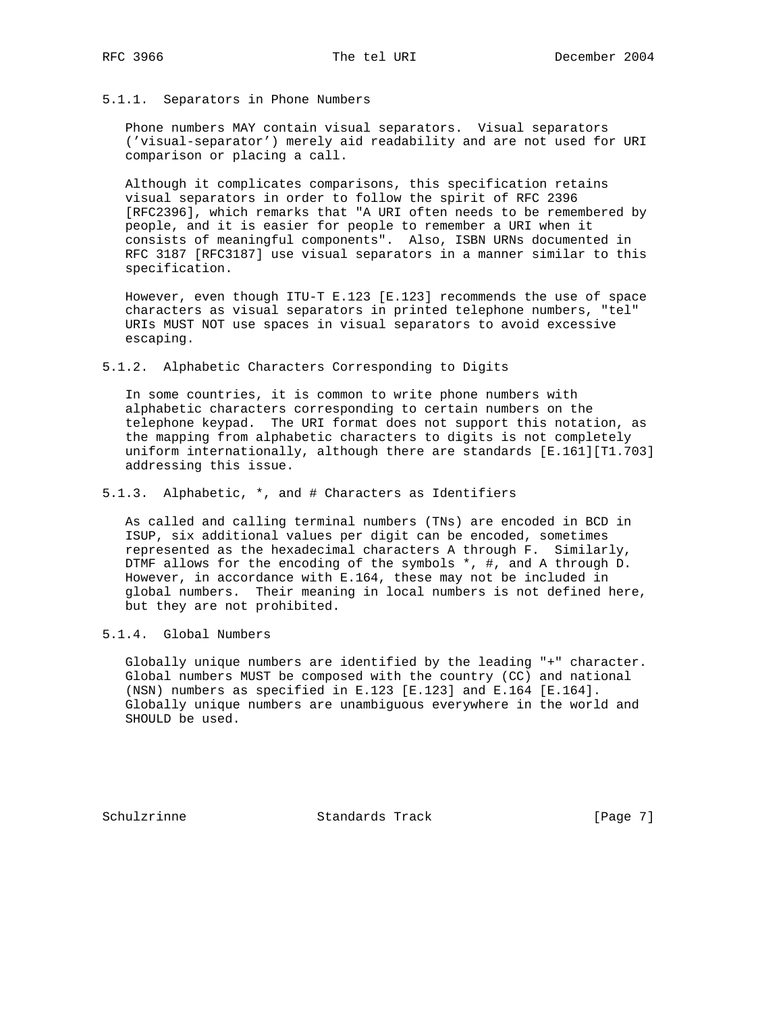### 5.1.1. Separators in Phone Numbers

 Phone numbers MAY contain visual separators. Visual separators ('visual-separator') merely aid readability and are not used for URI comparison or placing a call.

 Although it complicates comparisons, this specification retains visual separators in order to follow the spirit of RFC 2396 [RFC2396], which remarks that "A URI often needs to be remembered by people, and it is easier for people to remember a URI when it consists of meaningful components". Also, ISBN URNs documented in RFC 3187 [RFC3187] use visual separators in a manner similar to this specification.

 However, even though ITU-T E.123 [E.123] recommends the use of space characters as visual separators in printed telephone numbers, "tel" URIs MUST NOT use spaces in visual separators to avoid excessive escaping.

5.1.2. Alphabetic Characters Corresponding to Digits

 In some countries, it is common to write phone numbers with alphabetic characters corresponding to certain numbers on the telephone keypad. The URI format does not support this notation, as the mapping from alphabetic characters to digits is not completely uniform internationally, although there are standards [E.161][T1.703] addressing this issue.

5.1.3. Alphabetic, \*, and # Characters as Identifiers

 As called and calling terminal numbers (TNs) are encoded in BCD in ISUP, six additional values per digit can be encoded, sometimes represented as the hexadecimal characters A through F. Similarly, DTMF allows for the encoding of the symbols \*, #, and A through D. However, in accordance with E.164, these may not be included in global numbers. Their meaning in local numbers is not defined here, but they are not prohibited.

5.1.4. Global Numbers

 Globally unique numbers are identified by the leading "+" character. Global numbers MUST be composed with the country (CC) and national (NSN) numbers as specified in E.123 [E.123] and E.164 [E.164]. Globally unique numbers are unambiguous everywhere in the world and SHOULD be used.

Schulzrinne Standards Track [Page 7]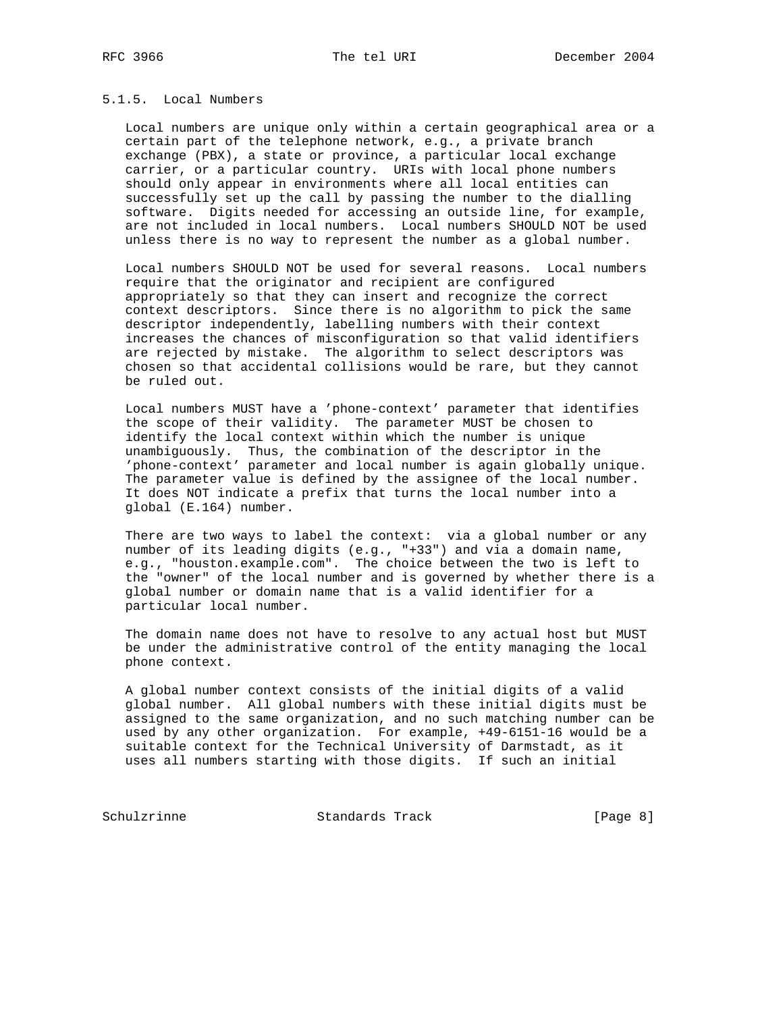## 5.1.5. Local Numbers

 Local numbers are unique only within a certain geographical area or a certain part of the telephone network, e.g., a private branch exchange (PBX), a state or province, a particular local exchange carrier, or a particular country. URIs with local phone numbers should only appear in environments where all local entities can successfully set up the call by passing the number to the dialling software. Digits needed for accessing an outside line, for example, are not included in local numbers. Local numbers SHOULD NOT be used unless there is no way to represent the number as a global number.

 Local numbers SHOULD NOT be used for several reasons. Local numbers require that the originator and recipient are configured appropriately so that they can insert and recognize the correct context descriptors. Since there is no algorithm to pick the same descriptor independently, labelling numbers with their context increases the chances of misconfiguration so that valid identifiers are rejected by mistake. The algorithm to select descriptors was chosen so that accidental collisions would be rare, but they cannot be ruled out.

 Local numbers MUST have a 'phone-context' parameter that identifies the scope of their validity. The parameter MUST be chosen to identify the local context within which the number is unique unambiguously. Thus, the combination of the descriptor in the 'phone-context' parameter and local number is again globally unique. The parameter value is defined by the assignee of the local number. It does NOT indicate a prefix that turns the local number into a global (E.164) number.

There are two ways to label the context: via a global number or any number of its leading digits (e.g., "+33") and via a domain name, e.g., "houston.example.com". The choice between the two is left to the "owner" of the local number and is governed by whether there is a global number or domain name that is a valid identifier for a particular local number.

 The domain name does not have to resolve to any actual host but MUST be under the administrative control of the entity managing the local phone context.

 A global number context consists of the initial digits of a valid global number. All global numbers with these initial digits must be assigned to the same organization, and no such matching number can be used by any other organization. For example, +49-6151-16 would be a suitable context for the Technical University of Darmstadt, as it uses all numbers starting with those digits. If such an initial

Schulzrinne Standards Track [Page 8]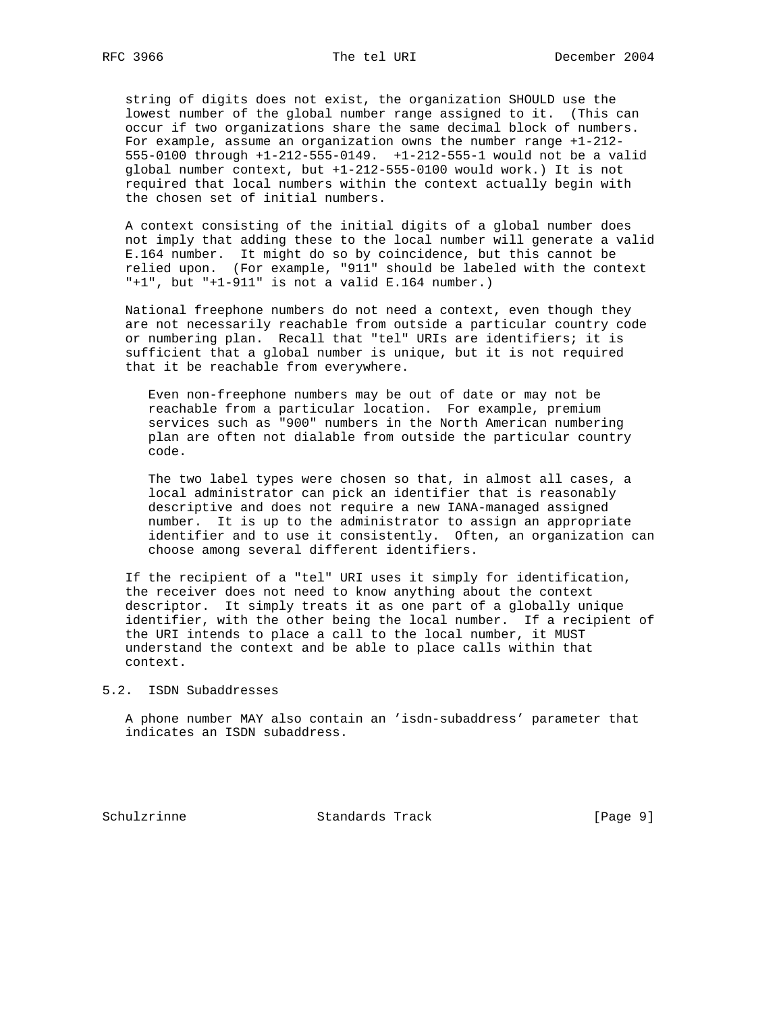string of digits does not exist, the organization SHOULD use the lowest number of the global number range assigned to it. (This can occur if two organizations share the same decimal block of numbers. For example, assume an organization owns the number range +1-212- 555-0100 through +1-212-555-0149. +1-212-555-1 would not be a valid global number context, but +1-212-555-0100 would work.) It is not required that local numbers within the context actually begin with the chosen set of initial numbers.

 A context consisting of the initial digits of a global number does not imply that adding these to the local number will generate a valid E.164 number. It might do so by coincidence, but this cannot be relied upon. (For example, "911" should be labeled with the context  $"+1"$ , but  $"+1-911"$  is not a valid E.164 number.)

 National freephone numbers do not need a context, even though they are not necessarily reachable from outside a particular country code or numbering plan. Recall that "tel" URIs are identifiers; it is sufficient that a global number is unique, but it is not required that it be reachable from everywhere.

 Even non-freephone numbers may be out of date or may not be reachable from a particular location. For example, premium services such as "900" numbers in the North American numbering plan are often not dialable from outside the particular country code.

 The two label types were chosen so that, in almost all cases, a local administrator can pick an identifier that is reasonably descriptive and does not require a new IANA-managed assigned number. It is up to the administrator to assign an appropriate identifier and to use it consistently. Often, an organization can choose among several different identifiers.

 If the recipient of a "tel" URI uses it simply for identification, the receiver does not need to know anything about the context descriptor. It simply treats it as one part of a globally unique identifier, with the other being the local number. If a recipient of the URI intends to place a call to the local number, it MUST understand the context and be able to place calls within that context.

#### 5.2. ISDN Subaddresses

 A phone number MAY also contain an 'isdn-subaddress' parameter that indicates an ISDN subaddress.

Schulzrinne Standards Track [Page 9]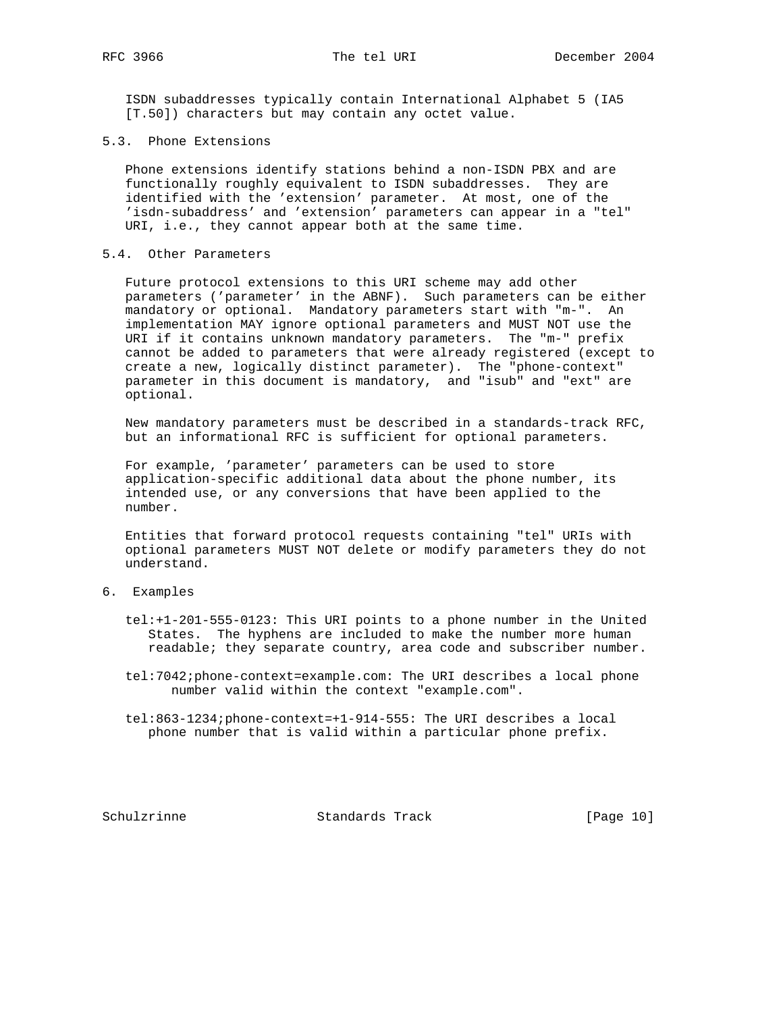ISDN subaddresses typically contain International Alphabet 5 (IA5 [T.50]) characters but may contain any octet value.

5.3. Phone Extensions

 Phone extensions identify stations behind a non-ISDN PBX and are functionally roughly equivalent to ISDN subaddresses. They are identified with the 'extension' parameter. At most, one of the 'isdn-subaddress' and 'extension' parameters can appear in a "tel" URI, i.e., they cannot appear both at the same time.

## 5.4. Other Parameters

 Future protocol extensions to this URI scheme may add other parameters ('parameter' in the ABNF). Such parameters can be either mandatory or optional. Mandatory parameters start with "m-". An implementation MAY ignore optional parameters and MUST NOT use the URI if it contains unknown mandatory parameters. The "m-" prefix cannot be added to parameters that were already registered (except to create a new, logically distinct parameter). The "phone-context" parameter in this document is mandatory, and "isub" and "ext" are optional.

 New mandatory parameters must be described in a standards-track RFC, but an informational RFC is sufficient for optional parameters.

 For example, 'parameter' parameters can be used to store application-specific additional data about the phone number, its intended use, or any conversions that have been applied to the number.

 Entities that forward protocol requests containing "tel" URIs with optional parameters MUST NOT delete or modify parameters they do not understand.

## 6. Examples

- tel:+1-201-555-0123: This URI points to a phone number in the United States. The hyphens are included to make the number more human readable; they separate country, area code and subscriber number.
- tel:7042;phone-context=example.com: The URI describes a local phone number valid within the context "example.com".
- tel:863-1234;phone-context=+1-914-555: The URI describes a local phone number that is valid within a particular phone prefix.

Schulzrinne **Standards Track** [Page 10]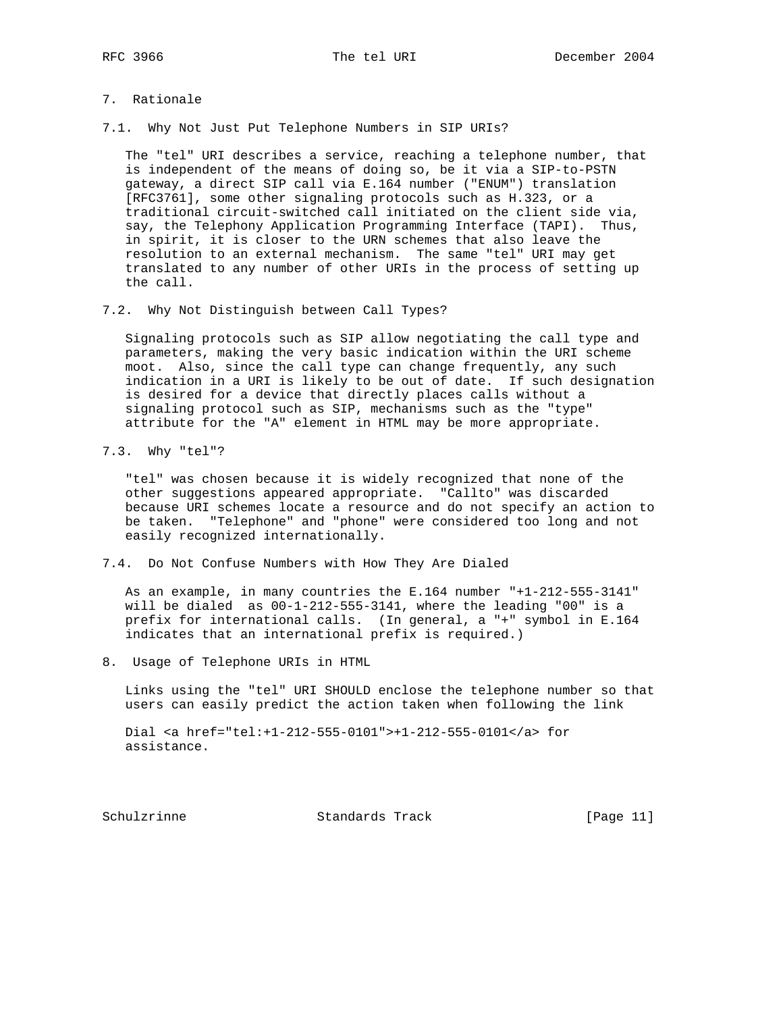## 7. Rationale

7.1. Why Not Just Put Telephone Numbers in SIP URIs?

 The "tel" URI describes a service, reaching a telephone number, that is independent of the means of doing so, be it via a SIP-to-PSTN gateway, a direct SIP call via E.164 number ("ENUM") translation [RFC3761], some other signaling protocols such as H.323, or a traditional circuit-switched call initiated on the client side via, say, the Telephony Application Programming Interface (TAPI). Thus, in spirit, it is closer to the URN schemes that also leave the resolution to an external mechanism. The same "tel" URI may get translated to any number of other URIs in the process of setting up the call.

7.2. Why Not Distinguish between Call Types?

 Signaling protocols such as SIP allow negotiating the call type and parameters, making the very basic indication within the URI scheme moot. Also, since the call type can change frequently, any such indication in a URI is likely to be out of date. If such designation is desired for a device that directly places calls without a signaling protocol such as SIP, mechanisms such as the "type" attribute for the "A" element in HTML may be more appropriate.

7.3. Why "tel"?

 "tel" was chosen because it is widely recognized that none of the other suggestions appeared appropriate. "Callto" was discarded because URI schemes locate a resource and do not specify an action to be taken. "Telephone" and "phone" were considered too long and not easily recognized internationally.

7.4. Do Not Confuse Numbers with How They Are Dialed

 As an example, in many countries the E.164 number "+1-212-555-3141" will be dialed as 00-1-212-555-3141, where the leading "00" is a prefix for international calls. (In general, a "+" symbol in E.164 indicates that an international prefix is required.)

8. Usage of Telephone URIs in HTML

 Links using the "tel" URI SHOULD enclose the telephone number so that users can easily predict the action taken when following the link

 Dial <a href="tel:+1-212-555-0101">+1-212-555-0101</a> for assistance.

Schulzrinne Standards Track [Page 11]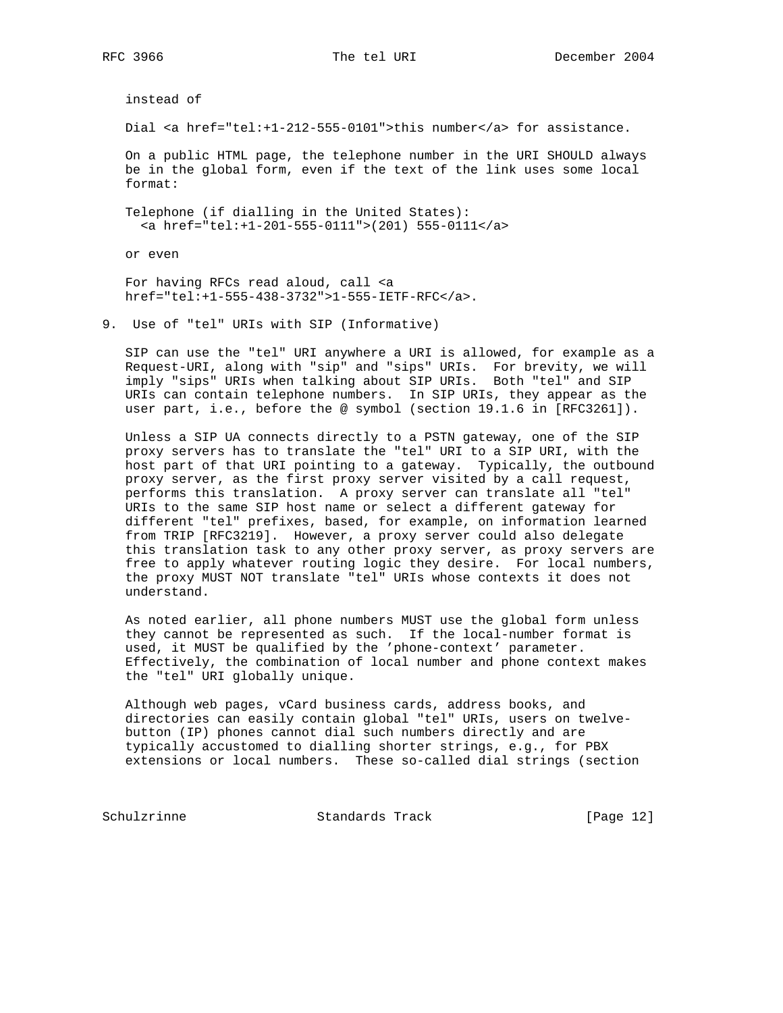instead of

Dial <a href="tel:+1-212-555-0101">this number</a> for assistance.

 On a public HTML page, the telephone number in the URI SHOULD always be in the global form, even if the text of the link uses some local format:

 Telephone (if dialling in the United States): <a href="tel:+1-201-555-0111">(201) 555-0111</a>

or even

 For having RFCs read aloud, call <a href="tel:+1-555-438-3732">1-555-IETF-RFC</a>.

9. Use of "tel" URIs with SIP (Informative)

 SIP can use the "tel" URI anywhere a URI is allowed, for example as a Request-URI, along with "sip" and "sips" URIs. For brevity, we will imply "sips" URIs when talking about SIP URIs. Both "tel" and SIP URIs can contain telephone numbers. In SIP URIs, they appear as the user part, i.e., before the @ symbol (section 19.1.6 in [RFC3261]).

 Unless a SIP UA connects directly to a PSTN gateway, one of the SIP proxy servers has to translate the "tel" URI to a SIP URI, with the host part of that URI pointing to a gateway. Typically, the outbound proxy server, as the first proxy server visited by a call request, performs this translation. A proxy server can translate all "tel" URIs to the same SIP host name or select a different gateway for different "tel" prefixes, based, for example, on information learned from TRIP [RFC3219]. However, a proxy server could also delegate this translation task to any other proxy server, as proxy servers are free to apply whatever routing logic they desire. For local numbers, the proxy MUST NOT translate "tel" URIs whose contexts it does not understand.

 As noted earlier, all phone numbers MUST use the global form unless they cannot be represented as such. If the local-number format is used, it MUST be qualified by the 'phone-context' parameter. Effectively, the combination of local number and phone context makes the "tel" URI globally unique.

 Although web pages, vCard business cards, address books, and directories can easily contain global "tel" URIs, users on twelve button (IP) phones cannot dial such numbers directly and are typically accustomed to dialling shorter strings, e.g., for PBX extensions or local numbers. These so-called dial strings (section

Schulzrinne Standards Track [Page 12]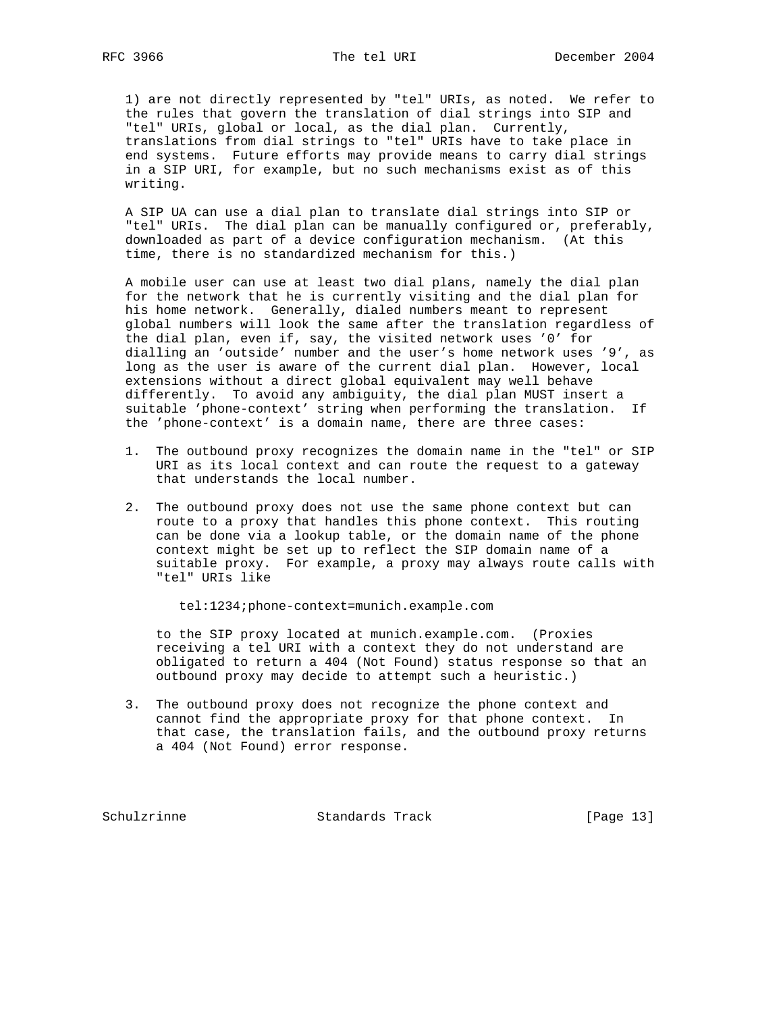1) are not directly represented by "tel" URIs, as noted. We refer to the rules that govern the translation of dial strings into SIP and "tel" URIs, global or local, as the dial plan. Currently, translations from dial strings to "tel" URIs have to take place in end systems. Future efforts may provide means to carry dial strings in a SIP URI, for example, but no such mechanisms exist as of this writing.

 A SIP UA can use a dial plan to translate dial strings into SIP or "tel" URIs. The dial plan can be manually configured or, preferably, downloaded as part of a device configuration mechanism. (At this time, there is no standardized mechanism for this.)

 A mobile user can use at least two dial plans, namely the dial plan for the network that he is currently visiting and the dial plan for his home network. Generally, dialed numbers meant to represent global numbers will look the same after the translation regardless of the dial plan, even if, say, the visited network uses '0' for dialling an 'outside' number and the user's home network uses '9', as long as the user is aware of the current dial plan. However, local extensions without a direct global equivalent may well behave differently. To avoid any ambiguity, the dial plan MUST insert a suitable 'phone-context' string when performing the translation. If the 'phone-context' is a domain name, there are three cases:

- 1. The outbound proxy recognizes the domain name in the "tel" or SIP URI as its local context and can route the request to a gateway that understands the local number.
- 2. The outbound proxy does not use the same phone context but can route to a proxy that handles this phone context. This routing can be done via a lookup table, or the domain name of the phone context might be set up to reflect the SIP domain name of a suitable proxy. For example, a proxy may always route calls with "tel" URIs like

tel:1234;phone-context=munich.example.com

 to the SIP proxy located at munich.example.com. (Proxies receiving a tel URI with a context they do not understand are obligated to return a 404 (Not Found) status response so that an outbound proxy may decide to attempt such a heuristic.)

 3. The outbound proxy does not recognize the phone context and cannot find the appropriate proxy for that phone context. In that case, the translation fails, and the outbound proxy returns a 404 (Not Found) error response.

Schulzrinne Standards Track [Page 13]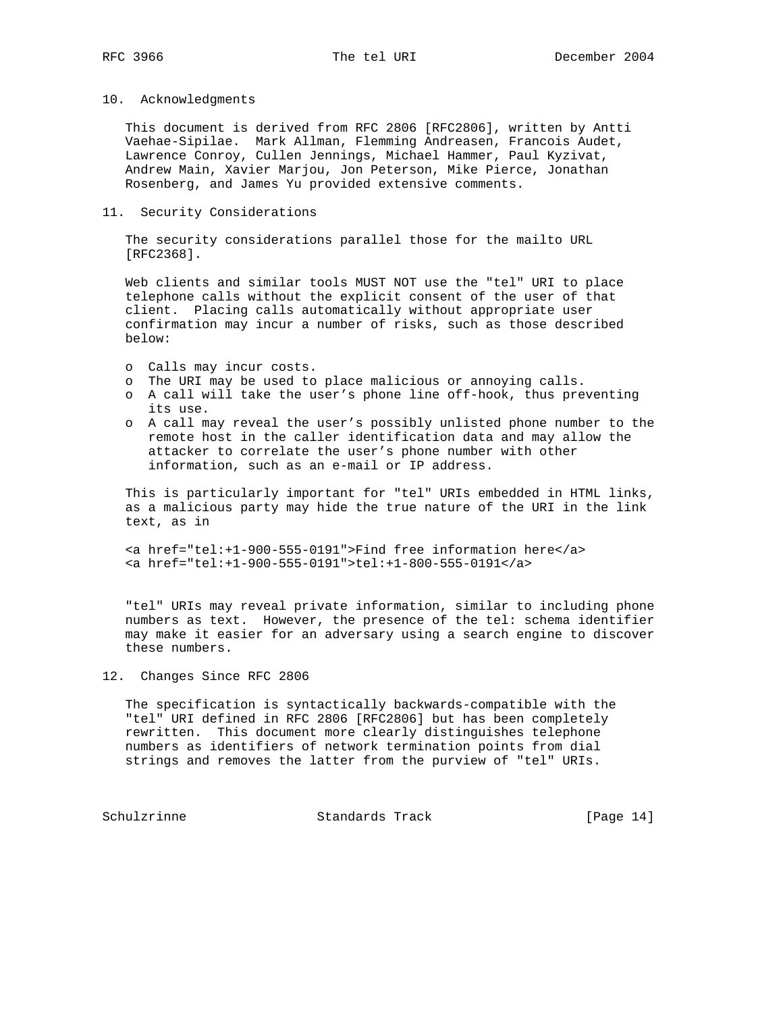## 10. Acknowledgments

 This document is derived from RFC 2806 [RFC2806], written by Antti Vaehae-Sipilae. Mark Allman, Flemming Andreasen, Francois Audet, Lawrence Conroy, Cullen Jennings, Michael Hammer, Paul Kyzivat, Andrew Main, Xavier Marjou, Jon Peterson, Mike Pierce, Jonathan Rosenberg, and James Yu provided extensive comments.

#### 11. Security Considerations

 The security considerations parallel those for the mailto URL [RFC2368].

 Web clients and similar tools MUST NOT use the "tel" URI to place telephone calls without the explicit consent of the user of that client. Placing calls automatically without appropriate user confirmation may incur a number of risks, such as those described below:

- o Calls may incur costs.
- o The URI may be used to place malicious or annoying calls.
- o A call will take the user's phone line off-hook, thus preventing its use.
- o A call may reveal the user's possibly unlisted phone number to the remote host in the caller identification data and may allow the attacker to correlate the user's phone number with other information, such as an e-mail or IP address.

 This is particularly important for "tel" URIs embedded in HTML links, as a malicious party may hide the true nature of the URI in the link text, as in

 <a href="tel:+1-900-555-0191">Find free information here</a> <a href="tel:+1-900-555-0191">tel:+1-800-555-0191</a>

 "tel" URIs may reveal private information, similar to including phone numbers as text. However, the presence of the tel: schema identifier may make it easier for an adversary using a search engine to discover these numbers.

## 12. Changes Since RFC 2806

 The specification is syntactically backwards-compatible with the "tel" URI defined in RFC 2806 [RFC2806] but has been completely rewritten. This document more clearly distinguishes telephone numbers as identifiers of network termination points from dial strings and removes the latter from the purview of "tel" URIs.

Schulzrinne **Standards Track** [Page 14]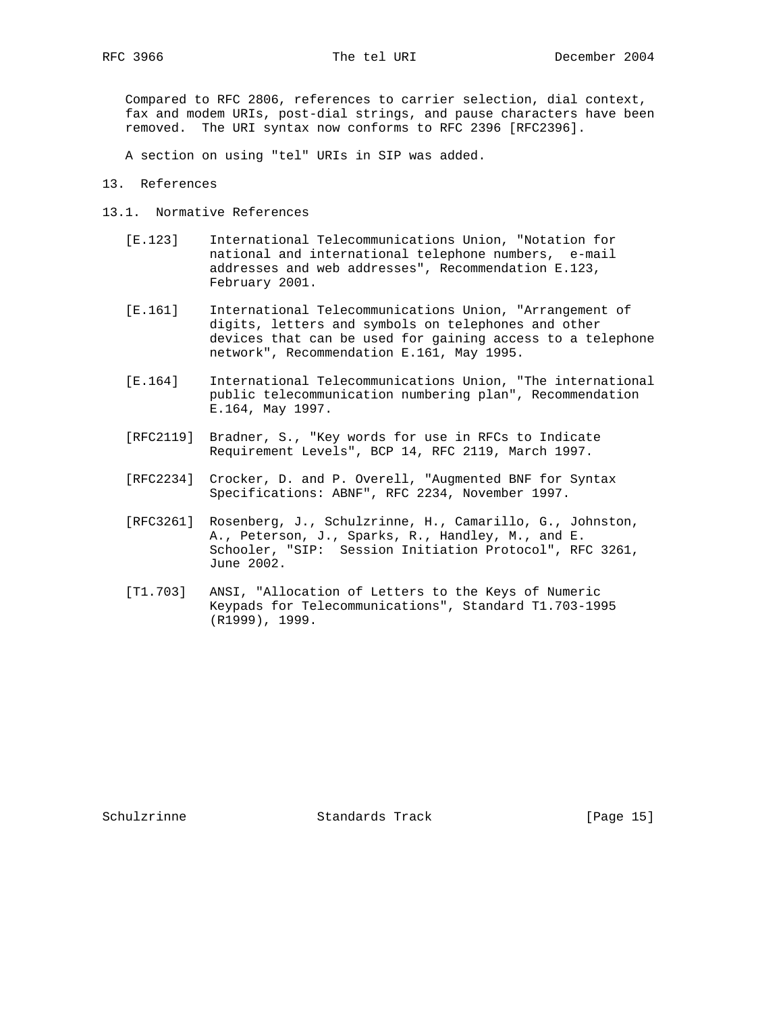Compared to RFC 2806, references to carrier selection, dial context, fax and modem URIs, post-dial strings, and pause characters have been removed. The URI syntax now conforms to RFC 2396 [RFC2396].

A section on using "tel" URIs in SIP was added.

13. References

- 13.1. Normative References
	- [E.123] International Telecommunications Union, "Notation for national and international telephone numbers, e-mail addresses and web addresses", Recommendation E.123, February 2001.
	- [E.161] International Telecommunications Union, "Arrangement of digits, letters and symbols on telephones and other devices that can be used for gaining access to a telephone network", Recommendation E.161, May 1995.
	- [E.164] International Telecommunications Union, "The international public telecommunication numbering plan", Recommendation E.164, May 1997.
	- [RFC2119] Bradner, S., "Key words for use in RFCs to Indicate Requirement Levels", BCP 14, RFC 2119, March 1997.
	- [RFC2234] Crocker, D. and P. Overell, "Augmented BNF for Syntax Specifications: ABNF", RFC 2234, November 1997.
	- [RFC3261] Rosenberg, J., Schulzrinne, H., Camarillo, G., Johnston, A., Peterson, J., Sparks, R., Handley, M., and E. Schooler, "SIP: Session Initiation Protocol", RFC 3261, June 2002.
	- [T1.703] ANSI, "Allocation of Letters to the Keys of Numeric Keypads for Telecommunications", Standard T1.703-1995 (R1999), 1999.

Schulzrinne Standards Track [Page 15]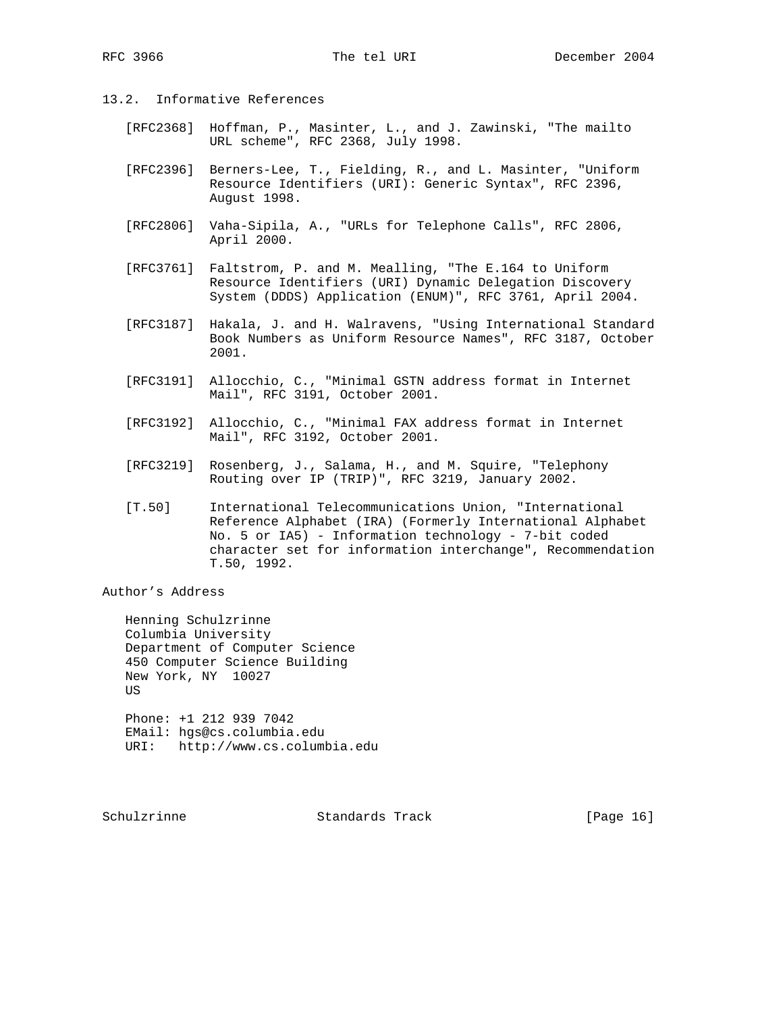- 13.2. Informative References
	- [RFC2368] Hoffman, P., Masinter, L., and J. Zawinski, "The mailto URL scheme", RFC 2368, July 1998.
	- [RFC2396] Berners-Lee, T., Fielding, R., and L. Masinter, "Uniform Resource Identifiers (URI): Generic Syntax", RFC 2396, August 1998.
	- [RFC2806] Vaha-Sipila, A., "URLs for Telephone Calls", RFC 2806, April 2000.
	- [RFC3761] Faltstrom, P. and M. Mealling, "The E.164 to Uniform Resource Identifiers (URI) Dynamic Delegation Discovery System (DDDS) Application (ENUM)", RFC 3761, April 2004.
	- [RFC3187] Hakala, J. and H. Walravens, "Using International Standard Book Numbers as Uniform Resource Names", RFC 3187, October 2001.
	- [RFC3191] Allocchio, C., "Minimal GSTN address format in Internet Mail", RFC 3191, October 2001.
	- [RFC3192] Allocchio, C., "Minimal FAX address format in Internet Mail", RFC 3192, October 2001.
	- [RFC3219] Rosenberg, J., Salama, H., and M. Squire, "Telephony Routing over IP (TRIP)", RFC 3219, January 2002.
	- [T.50] International Telecommunications Union, "International Reference Alphabet (IRA) (Formerly International Alphabet No. 5 or IA5) - Information technology - 7-bit coded character set for information interchange", Recommendation T.50, 1992.

Author's Address

 Henning Schulzrinne Columbia University Department of Computer Science 450 Computer Science Building New York, NY 10027 US Phone: +1 212 939 7042

 EMail: hgs@cs.columbia.edu URI: http://www.cs.columbia.edu

Schulzrinne **Standards Track** [Page 16]